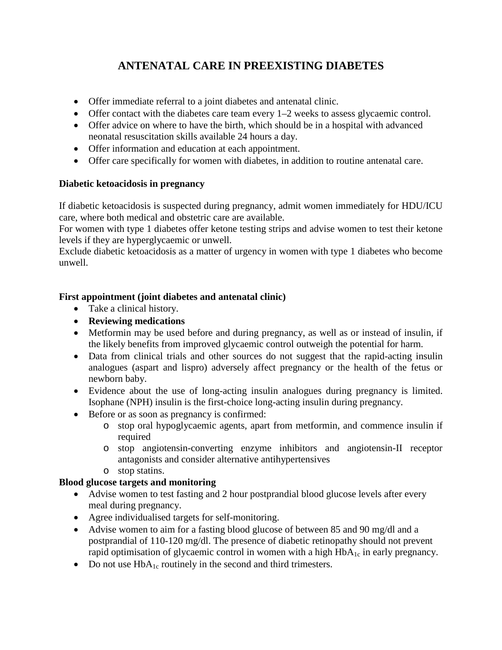# **ANTENATAL CARE IN PREEXISTING DIABETES**

- Offer immediate referral to a joint diabetes and antenatal clinic.
- Offer contact with the diabetes care team every 1–2 weeks to assess glycaemic control.
- Offer advice on where to have the birth, which should be in a hospital with advanced neonatal resuscitation skills available 24 hours a day.
- Offer information and education at each appointment.
- Offer care specifically for women with diabetes, in addition to routine antenatal care.

### **Diabetic ketoacidosis in pregnancy**

If diabetic ketoacidosis is suspected during pregnancy, admit women immediately for HDU/ICU care, where both medical and obstetric care are available.

For women with type 1 diabetes offer ketone testing strips and advise women to test their ketone levels if they are hyperglycaemic or unwell.

Exclude diabetic ketoacidosis as a matter of urgency in women with type 1 diabetes who become unwell.

### **First appointment (joint diabetes and antenatal clinic)**

- Take a clinical history.
- **Reviewing medications**
- Metformin may be used before and during pregnancy, as well as or instead of insulin, if the likely benefits from improved glycaemic control outweigh the potential for harm.
- Data from clinical trials and other sources do not suggest that the rapid-acting insulin analogues (aspart and lispro) adversely affect pregnancy or the health of the fetus or newborn baby.
- Evidence about the use of long-acting insulin analogues during pregnancy is limited. Isophane (NPH) insulin is the first-choice long-acting insulin during pregnancy.
- Before or as soon as pregnancy is confirmed:
	- o stop oral hypoglycaemic agents, apart from metformin, and commence insulin if required
	- o stop angiotensin-converting enzyme inhibitors and angiotensin-II receptor antagonists and consider alternative antihypertensives
	- o stop statins.

# **Blood glucose targets and monitoring**

- Advise women to test fasting and 2 hour postprandial blood glucose levels after every meal during pregnancy.
- Agree individualised targets for self-monitoring.
- Advise women to aim for a fasting blood glucose of between 85 and 90 mg/dl and a postprandial of 110-120 mg/dl. The presence of diabetic retinopathy should not prevent rapid optimisation of glycaemic control in women with a high  $HbA_{1c}$  in early pregnancy.
- Do not use  $HbA_{1c}$  routinely in the second and third trimesters.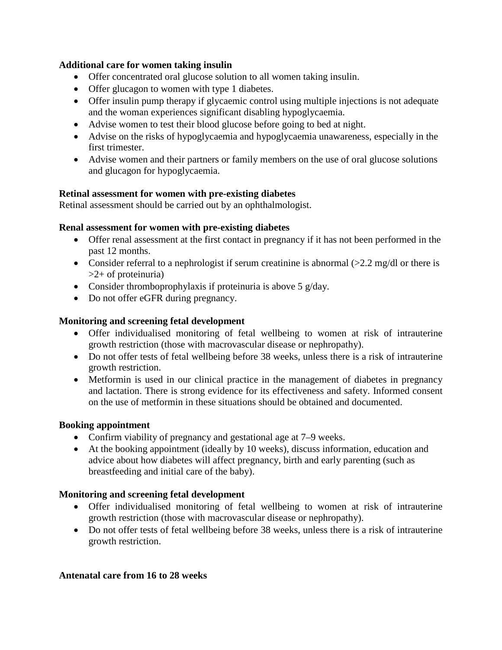### **Additional care for women taking insulin**

- Offer concentrated oral glucose solution to all women taking insulin.
- Offer glucagon to women with type 1 diabetes.
- Offer insulin pump therapy if glycaemic control using multiple injections is not adequate and the woman experiences significant disabling hypoglycaemia.
- Advise women to test their blood glucose before going to bed at night.
- Advise on the risks of hypoglycaemia and hypoglycaemia unawareness, especially in the first trimester.
- Advise women and their partners or family members on the use of oral glucose solutions and glucagon for hypoglycaemia.

### **Retinal assessment for women with pre-existing diabetes**

Retinal assessment should be carried out by an ophthalmologist.

### **Renal assessment for women with pre-existing diabetes**

- Offer renal assessment at the first contact in pregnancy if it has not been performed in the past 12 months.
- Consider referral to a nephrologist if serum creatinine is abnormal  $(>2.2 \text{ mg/dl})$  or there is  $>2+$  of proteinuria)
- Consider thromboprophylaxis if proteinuria is above 5 g/day.
- Do not offer eGFR during pregnancy.

### **Monitoring and screening fetal development**

- Offer individualised monitoring of fetal wellbeing to women at risk of intrauterine growth restriction (those with macrovascular disease or nephropathy).
- Do not offer tests of fetal wellbeing before 38 weeks, unless there is a risk of intrauterine growth restriction.
- Metformin is used in our clinical practice in the management of diabetes in pregnancy and lactation. There is strong evidence for its effectiveness and safety. Informed consent on the use of metformin in these situations should be obtained and documented.

#### **Booking appointment**

- Confirm viability of pregnancy and gestational age at 7–9 weeks.
- At the booking appointment (ideally by 10 weeks), discuss information, education and advice about how diabetes will affect pregnancy, birth and early parenting (such as breastfeeding and initial care of the baby).

### **Monitoring and screening fetal development**

- Offer individualised monitoring of fetal wellbeing to women at risk of intrauterine growth restriction (those with macrovascular disease or nephropathy).
- Do not offer tests of fetal wellbeing before 38 weeks, unless there is a risk of intrauterine growth restriction.

#### **Antenatal care from 16 to 28 weeks**